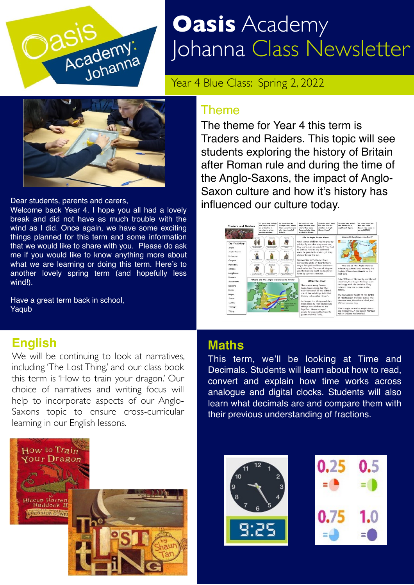

# **Oasis** Academy Johanna Class Newsletter

Year 4 Blue Class: Spring 2, 2022



Dear students, parents and carers,

Welcome back Year 4. I hope you all had a lovely break and did not have as much trouble with the wind as I did. Once again, we have some exciting things planned for this term and some information that we would like to share with you. Please do ask me if you would like to know anything more about what we are learning or doing this term. Here's to another lovely spring term (and hopefully less wind!).

Have a great term back in school, Yaqub

#### **English**

We will be continuing to look at narratives, including 'The Lost Thing,' and our class book this term is 'How to train your dragon.' Our choice of narratives and writing focus will help to incorporate aspects of our Anglo-Saxons topic to ensure cross-curricular learning in our English lessons.



#### Theme

The theme for Year 4 this term is Traders and Raiders. This topic will see students exploring the history of Britain after Roman rule and during the time of the Anglo-Saxons, the impact of Anglo-Saxon culture and how it's history has influenced our culture today.



#### **Maths**

This term, we'll be looking at Time and Decimals. Students will learn about how to read, convert and explain how time works across analogue and digital clocks. Students will also learn what decimals are and compare them with their previous understanding of fractions.